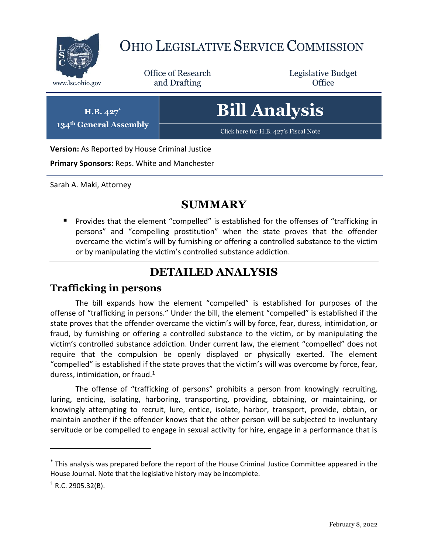

# OHIO LEGISLATIVE SERVICE COMMISSION

Office of Research www.lsc.ohio.gov **and Drafting Office** 

Legislative Budget

**H.B. 427\***

**134th General Assembly**

**Bill Analysis**

[Click here for H.B. 427](https://www.legislature.ohio.gov/legislation/legislation-documents?id=GA134-HB-427)'s Fiscal Note

**Version:** As Reported by House Criminal Justice

**Primary Sponsors:** Reps. White and Manchester

Sarah A. Maki, Attorney

### **SUMMARY**

**Provides that the element "compelled" is established for the offenses of "trafficking in** persons" and "compelling prostitution" when the state proves that the offender overcame the victim's will by furnishing or offering a controlled substance to the victim or by manipulating the victim's controlled substance addiction.

## **DETAILED ANALYSIS**

#### **Trafficking in persons**

The bill expands how the element "compelled" is established for purposes of the offense of "trafficking in persons." Under the bill, the element "compelled" is established if the state proves that the offender overcame the victim's will by force, fear, duress, intimidation, or fraud, by furnishing or offering a controlled substance to the victim, or by manipulating the victim's controlled substance addiction. Under current law, the element "compelled" does not require that the compulsion be openly displayed or physically exerted. The element "compelled" is established if the state proves that the victim's will was overcome by force, fear, duress, intimidation, or fraud.<sup>1</sup>

The offense of "trafficking of persons" prohibits a person from knowingly recruiting, luring, enticing, isolating, harboring, transporting, providing, obtaining, or maintaining, or knowingly attempting to recruit, lure, entice, isolate, harbor, transport, provide, obtain, or maintain another if the offender knows that the other person will be subjected to involuntary servitude or be compelled to engage in sexual activity for hire, engage in a performance that is

 $\overline{a}$ 

<sup>\*</sup> This analysis was prepared before the report of the House Criminal Justice Committee appeared in the House Journal. Note that the legislative history may be incomplete.

 $1$  R.C. 2905.32(B).